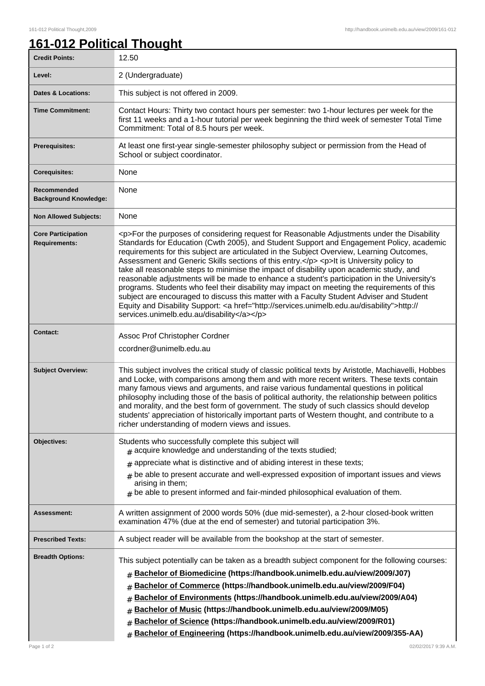## **161-012 Political Thought**

| <b>Credit Points:</b>                             | 12.50                                                                                                                                                                                                                                                                                                                                                                                                                                                                                                                                                                                                                                                                                                                                                                                                                                                                                                                        |
|---------------------------------------------------|------------------------------------------------------------------------------------------------------------------------------------------------------------------------------------------------------------------------------------------------------------------------------------------------------------------------------------------------------------------------------------------------------------------------------------------------------------------------------------------------------------------------------------------------------------------------------------------------------------------------------------------------------------------------------------------------------------------------------------------------------------------------------------------------------------------------------------------------------------------------------------------------------------------------------|
| Level:                                            | 2 (Undergraduate)                                                                                                                                                                                                                                                                                                                                                                                                                                                                                                                                                                                                                                                                                                                                                                                                                                                                                                            |
| <b>Dates &amp; Locations:</b>                     | This subject is not offered in 2009.                                                                                                                                                                                                                                                                                                                                                                                                                                                                                                                                                                                                                                                                                                                                                                                                                                                                                         |
| <b>Time Commitment:</b>                           | Contact Hours: Thirty two contact hours per semester: two 1-hour lectures per week for the<br>first 11 weeks and a 1-hour tutorial per week beginning the third week of semester Total Time<br>Commitment: Total of 8.5 hours per week.                                                                                                                                                                                                                                                                                                                                                                                                                                                                                                                                                                                                                                                                                      |
| <b>Prerequisites:</b>                             | At least one first-year single-semester philosophy subject or permission from the Head of<br>School or subject coordinator.                                                                                                                                                                                                                                                                                                                                                                                                                                                                                                                                                                                                                                                                                                                                                                                                  |
| <b>Corequisites:</b>                              | None                                                                                                                                                                                                                                                                                                                                                                                                                                                                                                                                                                                                                                                                                                                                                                                                                                                                                                                         |
| Recommended<br><b>Background Knowledge:</b>       | None                                                                                                                                                                                                                                                                                                                                                                                                                                                                                                                                                                                                                                                                                                                                                                                                                                                                                                                         |
| <b>Non Allowed Subjects:</b>                      | None                                                                                                                                                                                                                                                                                                                                                                                                                                                                                                                                                                                                                                                                                                                                                                                                                                                                                                                         |
| <b>Core Participation</b><br><b>Requirements:</b> | <p>For the purposes of considering request for Reasonable Adjustments under the Disability<br/>Standards for Education (Cwth 2005), and Student Support and Engagement Policy, academic<br/>requirements for this subject are articulated in the Subject Overview, Learning Outcomes,<br/>Assessment and Generic Skills sections of this entry.</p> <p>It is University policy to<br/>take all reasonable steps to minimise the impact of disability upon academic study, and<br/>reasonable adjustments will be made to enhance a student's participation in the University's<br/>programs. Students who feel their disability may impact on meeting the requirements of this<br/>subject are encouraged to discuss this matter with a Faculty Student Adviser and Student<br/>Equity and Disability Support: &lt; a href="http://services.unimelb.edu.au/disability"&gt;http://<br/>services.unimelb.edu.au/disability</p> |
| <b>Contact:</b>                                   | Assoc Prof Christopher Cordner<br>ccordner@unimelb.edu.au                                                                                                                                                                                                                                                                                                                                                                                                                                                                                                                                                                                                                                                                                                                                                                                                                                                                    |
| <b>Subject Overview:</b>                          | This subject involves the critical study of classic political texts by Aristotle, Machiavelli, Hobbes<br>and Locke, with comparisons among them and with more recent writers. These texts contain<br>many famous views and arguments, and raise various fundamental questions in political<br>philosophy including those of the basis of political authority, the relationship between politics<br>and morality, and the best form of government. The study of such classics should develop<br>students' appreciation of historically important parts of Western thought, and contribute to a<br>richer understanding of modern views and issues.                                                                                                                                                                                                                                                                            |
| Objectives:                                       | Students who successfully complete this subject will<br>$#$ acquire knowledge and understanding of the texts studied;<br>$#$ appreciate what is distinctive and of abiding interest in these texts;<br>$#$ be able to present accurate and well-expressed exposition of important issues and views<br>arising in them;<br>$#$ be able to present informed and fair-minded philosophical evaluation of them.                                                                                                                                                                                                                                                                                                                                                                                                                                                                                                                  |
| Assessment:                                       | A written assignment of 2000 words 50% (due mid-semester), a 2-hour closed-book written<br>examination 47% (due at the end of semester) and tutorial participation 3%.                                                                                                                                                                                                                                                                                                                                                                                                                                                                                                                                                                                                                                                                                                                                                       |
| <b>Prescribed Texts:</b>                          | A subject reader will be available from the bookshop at the start of semester.                                                                                                                                                                                                                                                                                                                                                                                                                                                                                                                                                                                                                                                                                                                                                                                                                                               |
| <b>Breadth Options:</b>                           | This subject potentially can be taken as a breadth subject component for the following courses:<br>Bachelor of Biomedicine (https://handbook.unimelb.edu.au/view/2009/J07)<br>#<br>Bachelor of Commerce (https://handbook.unimelb.edu.au/view/2009/F04)<br>#<br>Bachelor of Environments (https://handbook.unimelb.edu.au/view/2009/A04)<br>#<br>Bachelor of Music (https://handbook.unimelb.edu.au/view/2009/M05)<br>#<br>Bachelor of Science (https://handbook.unimelb.edu.au/view/2009/R01)<br>#<br>Bachelor of Engineering (https://handbook.unimelb.edu.au/view/2009/355-AA)<br>#                                                                                                                                                                                                                                                                                                                                       |